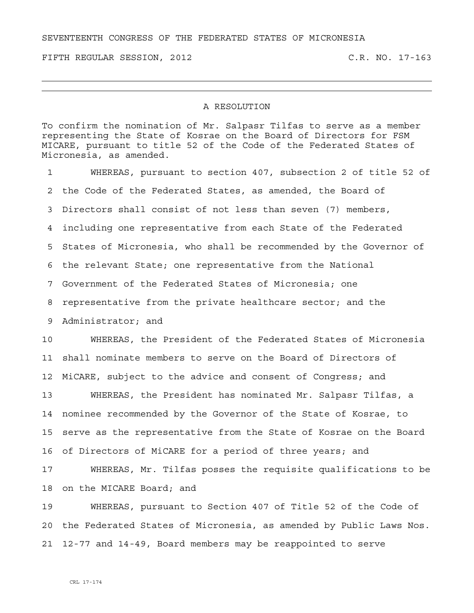SEVENTEENTH CONGRESS OF THE FEDERATED STATES OF MICRONESIA

FIFTH REGULAR SESSION, 2012 C.R. NO. 17-163

## A RESOLUTION

To confirm the nomination of Mr. Salpasr Tilfas to serve as a member representing the State of Kosrae on the Board of Directors for FSM MICARE, pursuant to title 52 of the Code of the Federated States of Micronesia, as amended.

1 WHEREAS, pursuant to section 407, subsection 2 of title 52 of 2 the Code of the Federated States, as amended, the Board of 3 Directors shall consist of not less than seven (7) members, 4 including one representative from each State of the Federated 5 States of Micronesia, who shall be recommended by the Governor of 6 the relevant State; one representative from the National 7 Government of the Federated States of Micronesia; one 8 representative from the private healthcare sector; and the 9 Administrator; and 10 WHEREAS, the President of the Federated States of Micronesia 11 shall nominate members to serve on the Board of Directors of 12 MiCARE, subject to the advice and consent of Congress; and 13 WHEREAS, the President has nominated Mr. Salpasr Tilfas, a 14 nominee recommended by the Governor of the State of Kosrae, to 15 serve as the representative from the State of Kosrae on the Board 16 of Directors of MiCARE for a period of three years; and

17 WHEREAS, Mr. Tilfas posses the requisite qualifications to be 18 on the MICARE Board; and

19 WHEREAS, pursuant to Section 407 of Title 52 of the Code of 20 the Federated States of Micronesia, as amended by Public Laws Nos. 21 12-77 and 14-49, Board members may be reappointed to serve